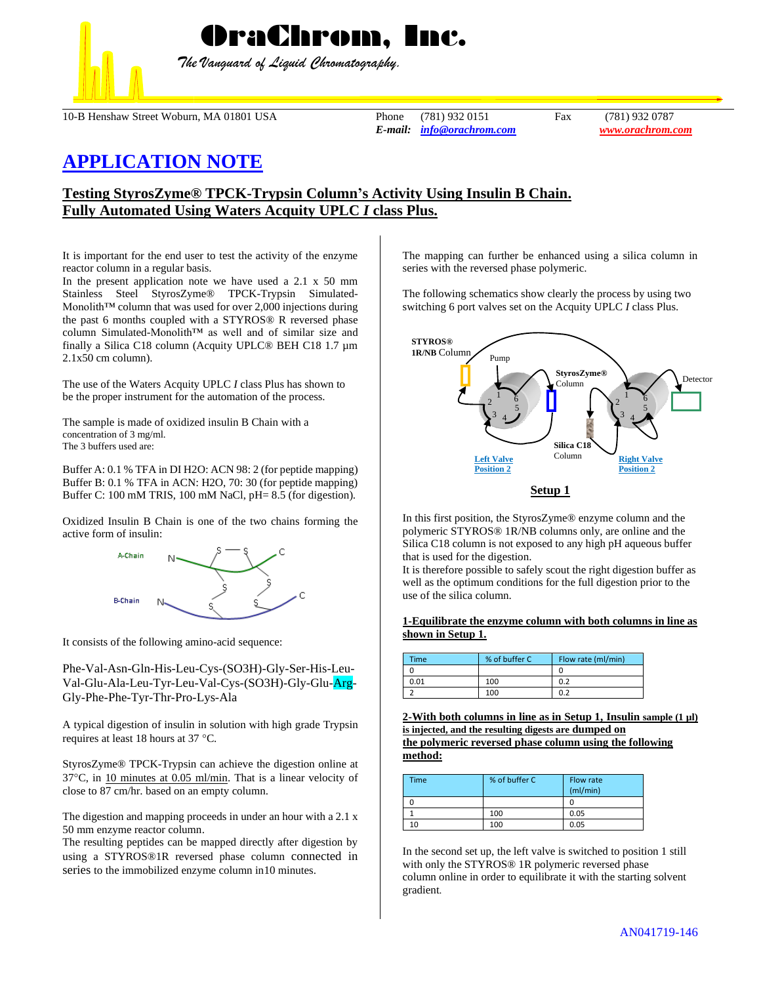

*The Vanguard of Liquid Chromatography.*

10-B Henshaw Street Woburn, MA 01801 USA Phone (781) 932 0151 Fax (781) 932 0787

*E-mail: [info@orachrom.com](mailto:info@orachrom.com) www.orachrom.com*

# **APPLICATION NOTE**

## **Testing StyrosZyme® TPCK-Trypsin Column's Activity Using Insulin B Chain. Fully Automated Using Waters Acquity UPLC** *I* **class Plus.**

It is important for the end user to test the activity of the enzyme reactor column in a regular basis.

In the present application note we have used a 2.1 x 50 mm Stainless Steel StyrosZyme® TPCK-Trypsin Simulated-Monolith™ column that was used for over 2,000 injections during the past 6 months coupled with a STYROS® R reversed phase column Simulated-Monolith™ as well and of similar size and finally a Silica C18 column (Acquity UPLC® BEH C18 1.7 µm 2.1x50 cm column).

The use of the Waters Acquity UPLC *I* class Plus has shown to be the proper instrument for the automation of the process.

The sample is made of oxidized insulin B Chain with a concentration of 3 mg/ml. The 3 buffers used are:

Buffer A: 0.1 % TFA in DI H2O: ACN 98: 2 (for peptide mapping) Buffer B: 0.1 % TFA in ACN: H2O, 70: 30 (for peptide mapping) Buffer C: 100 mM TRIS, 100 mM NaCl, pH= 8.5 (for digestion).

Oxidized Insulin B Chain is one of the two chains forming the active form of insulin:



It consists of the following amino-acid sequence:

Phe-Val-Asn-Gln-His-Leu-Cys-(SO3H)-Gly-Ser-His-Leu-Val-Glu-Ala-Leu-Tyr-Leu-Val-Cys-(SO3H)-Gly-Glu-Arg-Gly-Phe-Phe-Tyr-Thr-Pro-Lys-Ala

A typical digestion of insulin in solution with high grade Trypsin requires at least 18 hours at 37 °C.

StyrosZyme® TPCK-Trypsin can achieve the digestion online at  $37^{\circ}$ C, in 10 minutes at 0.05 ml/min. That is a linear velocity of close to 87 cm/hr. based on an empty column.

The digestion and mapping proceeds in under an hour with a 2.1 x 50 mm enzyme reactor column.

The resulting peptides can be mapped directly after digestion by using a STYROS®1R reversed phase column connected in series to the immobilized enzyme column in10 minutes.

The mapping can further be enhanced using a silica column in series with the reversed phase polymeric.

The following schematics show clearly the process by using two switching 6 port valves set on the Acquity UPLC *I* class Plus.



In this first position, the StyrosZyme® enzyme column and the polymeric STYROS® 1R/NB columns only, are online and the Silica C18 column is not exposed to any high pH aqueous buffer that is used for the digestion.

It is therefore possible to safely scout the right digestion buffer as well as the optimum conditions for the full digestion prior to the use of the silica column.

#### **1-Equilibrate the enzyme column with both columns in line as shown in Setup 1.**

| <b>Time</b> | % of buffer C | Flow rate (ml/min) |
|-------------|---------------|--------------------|
|             |               |                    |
| 0.01        | 100           | 0.2                |
|             | 100           | 0.2                |

**2-With both columns in line as in Setup 1, Insulin sample (1 µl) is injected, and the resulting digests are dumped on the polymeric reversed phase column using the following method:**

| Time | % of buffer C | Flow rate<br>(ml/min) |
|------|---------------|-----------------------|
|      |               |                       |
|      | 100           | 0.05                  |
|      | 100           | 0.05                  |

In the second set up, the left valve is switched to position 1 still with only the STYROS® 1R polymeric reversed phase column online in order to equilibrate it with the starting solvent gradient.